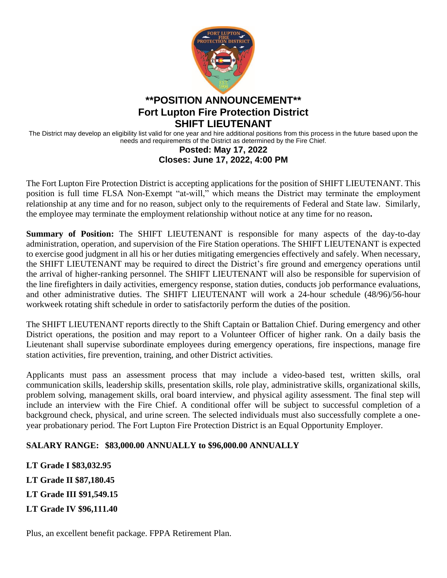

# **\*\*POSITION ANNOUNCEMENT\*\* Fort Lupton Fire Protection District SHIFT LIEUTENANT**

The District may develop an eligibility list valid for one year and hire additional positions from this process in the future based upon the needs and requirements of the District as determined by the Fire Chief.

#### **Posted: May 17, 2022 Closes: June 17, 2022, 4:00 PM**

The Fort Lupton Fire Protection District is accepting applications for the position of SHIFT LIEUTENANT. This position is full time FLSA Non-Exempt "at-will," which means the District may terminate the employment relationship at any time and for no reason, subject only to the requirements of Federal and State law. Similarly, the employee may terminate the employment relationship without notice at any time for no reason**.** 

**Summary of Position:** The SHIFT LIEUTENANT is responsible for many aspects of the day-to-day administration, operation, and supervision of the Fire Station operations. The SHIFT LIEUTENANT is expected to exercise good judgment in all his or her duties mitigating emergencies effectively and safely. When necessary, the SHIFT LIEUTENANT may be required to direct the District's fire ground and emergency operations until the arrival of higher-ranking personnel. The SHIFT LIEUTENANT will also be responsible for supervision of the line firefighters in daily activities, emergency response, station duties, conducts job performance evaluations, and other administrative duties. The SHIFT LIEUTENANT will work a 24-hour schedule (48/96)/56-hour workweek rotating shift schedule in order to satisfactorily perform the duties of the position.

The SHIFT LIEUTENANT reports directly to the Shift Captain or Battalion Chief. During emergency and other District operations, the position and may report to a Volunteer Officer of higher rank. On a daily basis the Lieutenant shall supervise subordinate employees during emergency operations, fire inspections, manage fire station activities, fire prevention, training, and other District activities.

Applicants must pass an assessment process that may include a video-based test, written skills, oral communication skills, leadership skills, presentation skills, role play, administrative skills, organizational skills, problem solving, management skills, oral board interview, and physical agility assessment. The final step will include an interview with the Fire Chief. A conditional offer will be subject to successful completion of a background check, physical, and urine screen. The selected individuals must also successfully complete a oneyear probationary period. The Fort Lupton Fire Protection District is an Equal Opportunity Employer.

## **SALARY RANGE: \$83,000.00 ANNUALLY to \$96,000.00 ANNUALLY**

**LT Grade I \$83,032.95 LT Grade II \$87,180.45 LT Grade III \$91,549.15 LT Grade IV \$96,111.40**

Plus, an excellent benefit package. FPPA Retirement Plan.